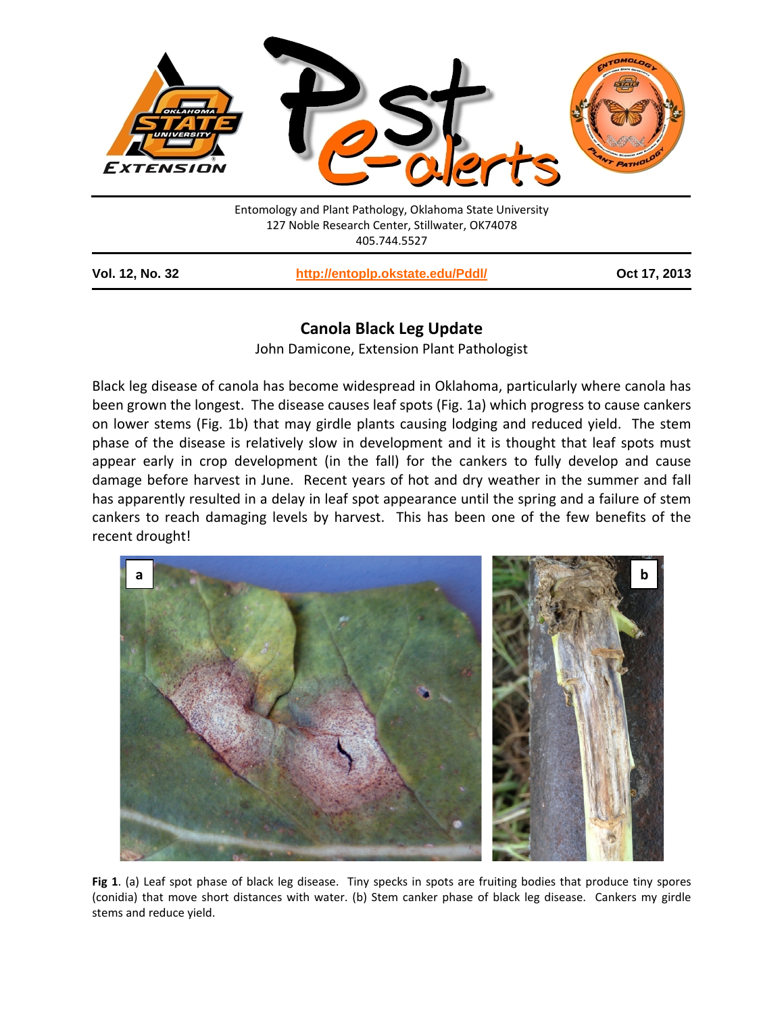

| <b>Vol. 12, No. 32</b> | http://entoplp.okstate.edu/Pddl/ | Oct 17, 2013 |
|------------------------|----------------------------------|--------------|
|------------------------|----------------------------------|--------------|

## **Canola Black Leg Update**

John Damicone, Extension Plant Pathologist

Black leg disease of canola has become widespread in Oklahoma, particularly where canola has been grown the longest. The disease causes leaf spots (Fig. 1a) which progress to cause cankers on lower stems (Fig. 1b) that may girdle plants causing lodging and reduced yield. The stem phase of the disease is relatively slow in development and it is thought that leaf spots must appear early in crop development (in the fall) for the cankers to fully develop and cause damage before harvest in June. Recent years of hot and dry weather in the summer and fall has apparently resulted in a delay in leaf spot appearance until the spring and a failure of stem cankers to reach damaging levels by harvest. This has been one of the few benefits of the recent drought!



**Fig 1**. (a) Leaf spot phase of black leg disease. Tiny specks in spots are fruiting bodies that produce tiny spores (conidia) that move short distances with water. (b) Stem canker phase of black leg disease. Cankers my girdle stems and reduce yield.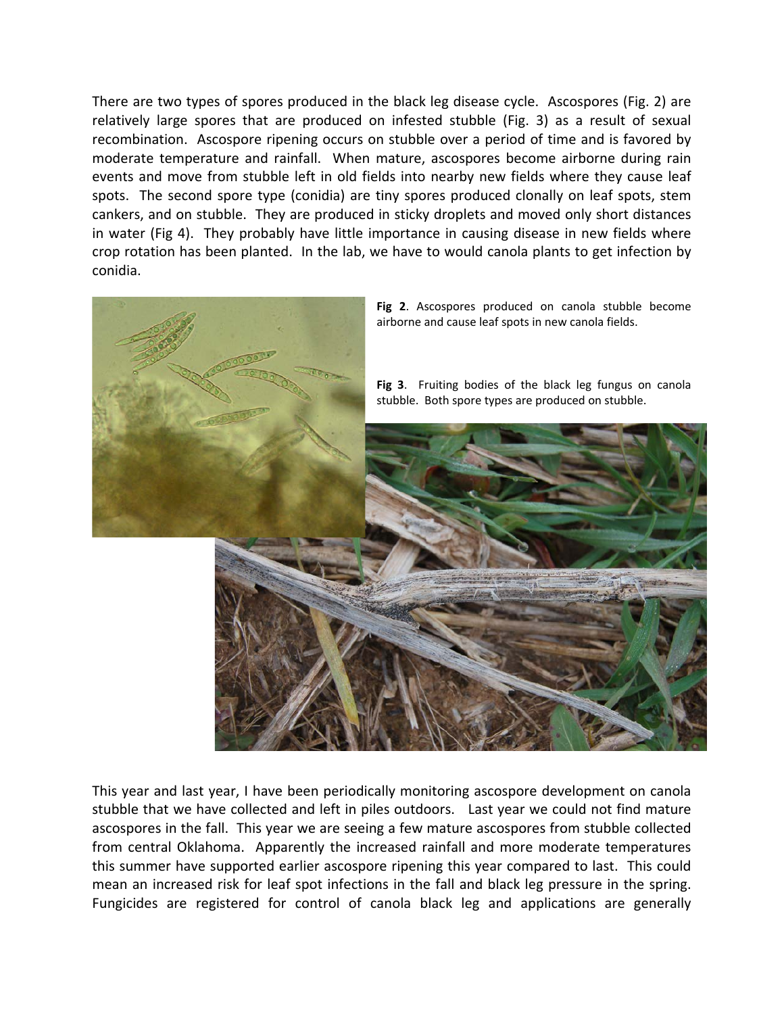There are two types of spores produced in the black leg disease cycle. Ascospores (Fig. 2) are relatively large spores that are produced on infested stubble (Fig. 3) as a result of sexual recombination. Ascospore ripening occurs on stubble over a period of time and is favored by moderate temperature and rainfall. When mature, ascospores become airborne during rain events and move from stubble left in old fields into nearby new fields where they cause leaf spots. The second spore type (conidia) are tiny spores produced clonally on leaf spots, stem cankers, and on stubble. They are produced in sticky droplets and moved only short distances in water (Fig 4). They probably have little importance in causing disease in new fields where crop rotation has been planted. In the lab, we have to would canola plants to get infection by conidia.



This year and last year, I have been periodically monitoring ascospore development on canola stubble that we have collected and left in piles outdoors. Last year we could not find mature ascospores in the fall. This year we are seeing a few mature ascospores from stubble collected from central Oklahoma. Apparently the increased rainfall and more moderate temperatures this summer have supported earlier ascospore ripening this year compared to last. This could mean an increased risk for leaf spot infections in the fall and black leg pressure in the spring. Fungicides are registered for control of canola black leg and applications are generally